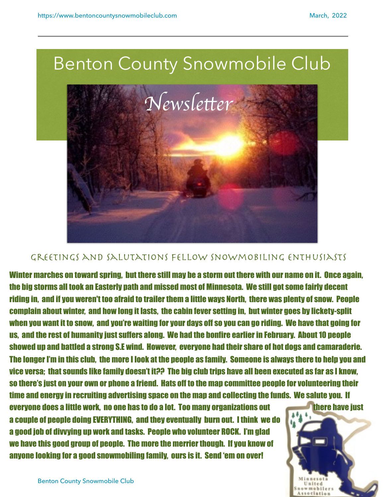

## Greetings and salutations fellow snowmobiling enthusiasts

Winter marches on toward spring, but there still may be a storm out there with our name on it. Once again, the big storms all took an Easterly path and missed most of Minnesota. We still got some fairly decent riding in, and if you weren't too afraid to trailer them a little ways North, there was plenty of snow. People complain about winter, and how long it lasts, the cabin fever setting in, but winter goes by lickety-split when you want it to snow, and you're waiting for your days off so you can go riding. We have that going for us, and the rest of humanity just suffers along. We had the bonfire earlier in February. About 10 people showed up and battled a strong S.E wind. However, everyone had their share of hot dogs and camaraderie. The longer I'm in this club, the more I look at the people as family. Someone is always there to help you and vice versa; that sounds like family doesn't it?? The big club trips have all been executed as far as I know, so there's just on your own or phone a friend. Hats off to the map committee people for volunteering their time and energy in recruiting advertising space on the map and collecting the funds. We salute you. If

everyone does a little work, no one has to do a lot. Too many organizations out there have just a couple of people doing EVERYTHING, and they eventually burn out. I think we do a good job of divvying up work and tasks. People who volunteer ROCK. I'm glad we have this good group of people. The more the merrier though. If you know of anyone looking for a good snowmobiling family, ours is it. Send 'em on over!